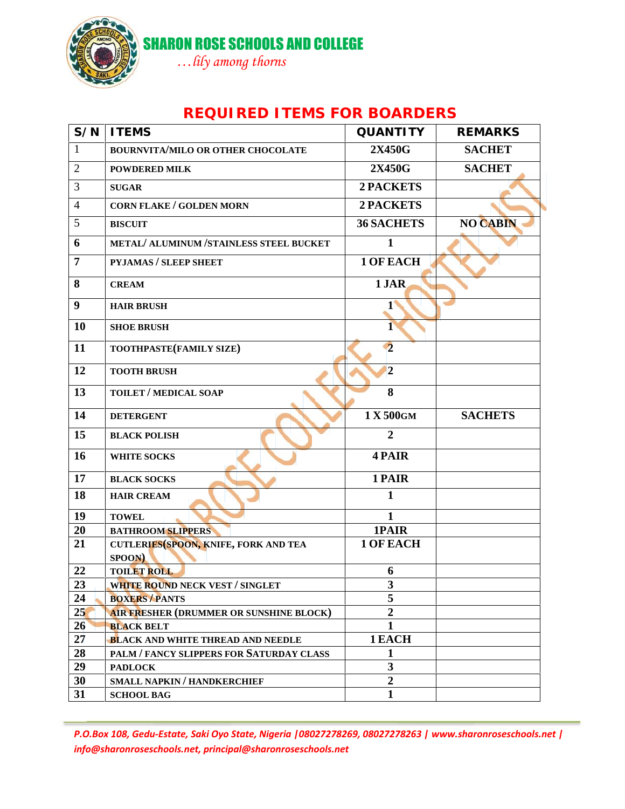

SHARON ROSE SCHOOLS AND COLLEGE

*…lily among thorns*

## **REQUIRED ITEMS FOR BOARDERS**

| S/N            | <b>ITEMS</b>                                         | <b>QUANTITY</b>                           | <b>REMARKS</b>  |
|----------------|------------------------------------------------------|-------------------------------------------|-----------------|
| $\mathbf{1}$   | BOURNVITA/MILO OR OTHER CHOCOLATE                    | 2X450G                                    | <b>SACHET</b>   |
| $\overline{2}$ | <b>POWDERED MILK</b>                                 | 2X450G                                    | <b>SACHET</b>   |
| 3              | <b>SUGAR</b>                                         | <b>2 PACKETS</b>                          |                 |
| $\overline{4}$ | <b>CORN FLAKE / GOLDEN MORN</b>                      | 2 PACKETS                                 |                 |
| 5              | <b>BISCUIT</b>                                       | <b>36 SACHETS</b>                         | <b>NO CABIN</b> |
| 6              | METAL/ ALUMINUM /STAINLESS STEEL BUCKET              | $\mathbf{1}$                              |                 |
| $\overline{7}$ | PYJAMAS / SLEEP SHEET                                | 1 OF EACH                                 |                 |
| 8              | <b>CREAM</b>                                         | 1 JAR                                     |                 |
| 9              | <b>HAIR BRUSH</b>                                    | $1^{\circ}$                               |                 |
| 10             | <b>SHOE BRUSH</b>                                    | 1                                         |                 |
| 11             | TOOTHPASTE(FAMILY SIZE)                              | $\mathbf{C}$                              |                 |
| 12             | <b>TOOTH BRUSH</b>                                   | $\overline{2}$                            |                 |
| 13             | <b>TOILET / MEDICAL SOAP</b>                         | 8                                         |                 |
| 14             | <b>DETERGENT</b>                                     | 1 X 500GM                                 | <b>SACHETS</b>  |
| 15             | <b>BLACK POLISH</b>                                  | $\overline{2}$                            |                 |
| 16             | <b>WHITE SOCKS</b>                                   | 4 PAIR                                    |                 |
| 17             | <b>BLACK SOCKS</b>                                   | 1 PAIR                                    |                 |
| 18             | <b>HAIR CREAM</b>                                    | 1                                         |                 |
| 19             | <b>TOWEL</b>                                         | $\mathbf{1}$                              |                 |
| 20             | <b>BATHROOM SLIPPERS</b>                             | 1PAIR                                     |                 |
| 21             | CUTLERIES (SPOON, KNIFE, FORK AND TEA<br>SPOON)      | <b>1 OF EACH</b>                          |                 |
| 22             | <b>TOILET ROLL</b>                                   | 6                                         |                 |
| 23             | WHITE ROUND NECK VEST / SINGLET                      | 3                                         |                 |
| 24             | <b>BOXERS / PANTS</b>                                | 5                                         |                 |
| 25             | AIR FRESHER (DRUMMER OR SUNSHINE BLOCK)              | $\overline{2}$                            |                 |
| 26             | <b>BLACK BELT</b>                                    | $\mathbf{1}$                              |                 |
| 27             |                                                      |                                           |                 |
| 28             |                                                      |                                           |                 |
|                | <b>BLACK AND WHITE THREAD AND NEEDLE</b>             | 1 EACH                                    |                 |
|                | PALM / FANCY SLIPPERS FOR SATURDAY CLASS             | $\mathbf{1}$                              |                 |
| 29<br>30       | <b>PADLOCK</b><br><b>SMALL NAPKIN / HANDKERCHIEF</b> | $\overline{\mathbf{3}}$<br>$\overline{2}$ |                 |

*P.O.Box 108, Gedu-Estate, Saki Oyo State, Nigeria |08027278269, 08027278263 | www.sharonroseschools.net | info@sharonroseschools.net, principal@sharonroseschools.net*